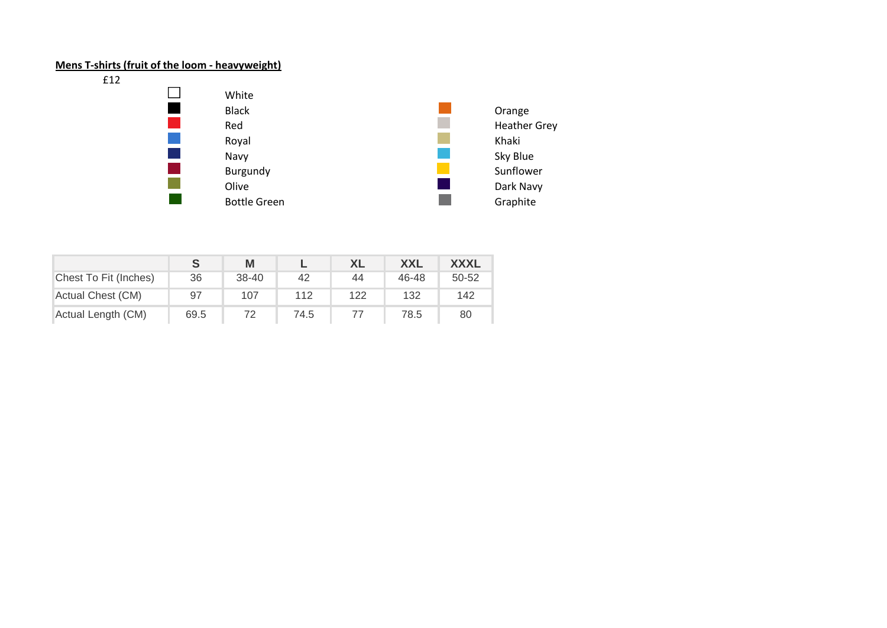# **Mens T-shirts (fruit of the loom - heavyweight)**

£12



|                       |      | M     |      | XL  | <b>XXL</b> | <b>XXXL</b> |
|-----------------------|------|-------|------|-----|------------|-------------|
| Chest To Fit (Inches) | 36   | 38-40 | 42   | 44  | 46-48      | 50-52       |
| Actual Chest (CM)     | 97   | 107   | 112  | 122 | 132        | 142         |
| Actual Length (CM)    | 69.5 |       | 74.5 |     | 78.5       | 80          |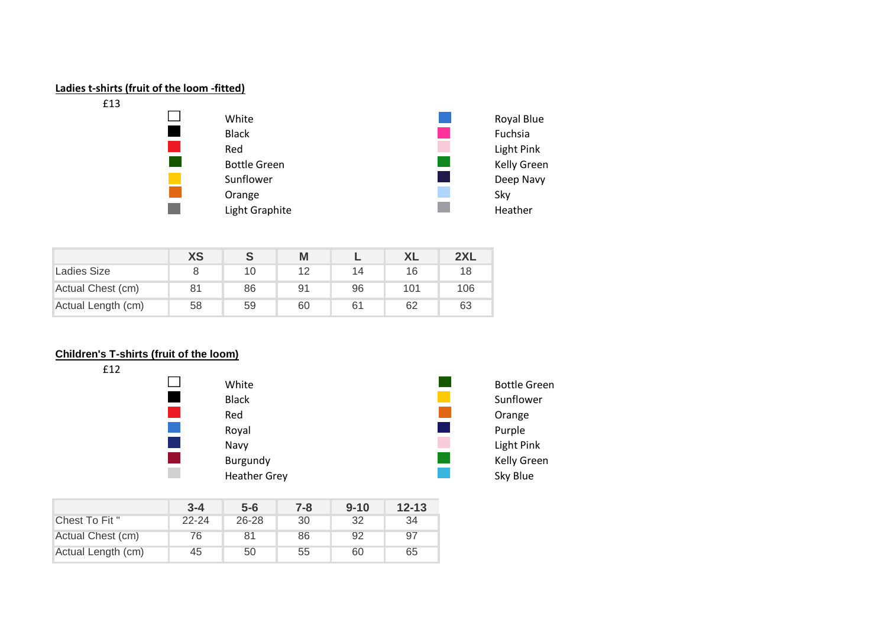

|                    | <b>XS</b> | ō  | Μ              |    |     | 2XL |
|--------------------|-----------|----|----------------|----|-----|-----|
| Ladies Size        |           | 10 | 12             | 14 | 16  | 18  |
| Actual Chest (cm)  | 81        | 86 | 9 <sup>1</sup> | 96 | 101 | 106 |
| Actual Length (cm) | 58        | 59 | 60             | 61 | 62  | 63  |

## **Children's T-shirts (fruit of the loom)**



|                    | $3 - 4$   | $5 - 6$   | $7 - 8$ | $9 - 10$ | $12 - 13$ |
|--------------------|-----------|-----------|---------|----------|-----------|
| Chest To Fit "     | $22 - 24$ | $26 - 28$ | 30      | 32       | 34        |
| Actual Chest (cm)  | 76        | 81        | 86      | 92       | 97        |
| Actual Length (cm) | 45        | 50        | 55      | 60       | 65        |

| Bottle Green |
|--------------|
| Sunflower    |
| Orange       |
| Purple       |
| Light Pink   |
| Kelly Green  |
| Skv Blue     |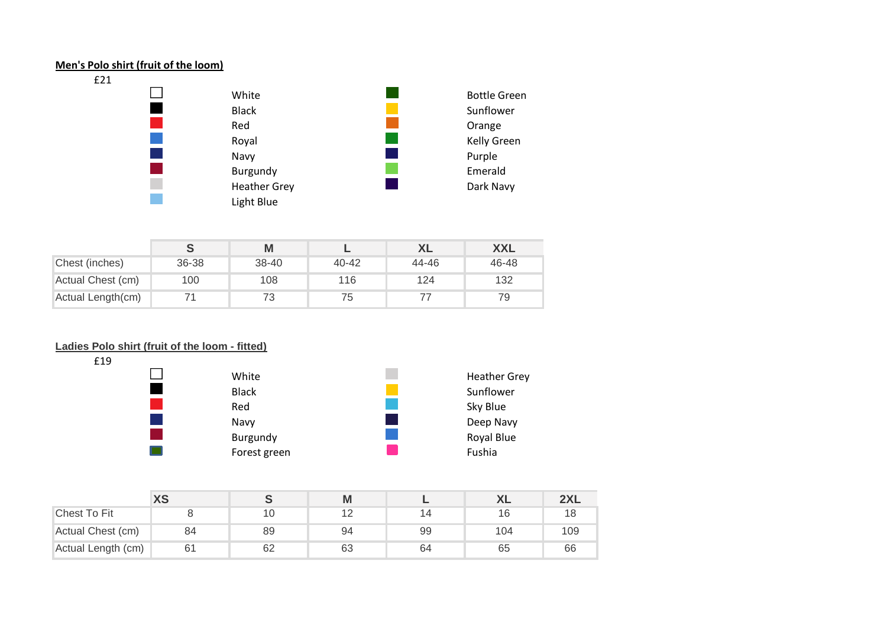#### **Men's Polo shirt (fruit of the loom)**



|                   |       | Μ     |           | XL    | <b>XXL</b> |
|-------------------|-------|-------|-----------|-------|------------|
| Chest (inches)    | 36-38 | 38-40 | $40 - 42$ | 44-46 | 46-48      |
| Actual Chest (cm) | 100   | 108   | 116       | 124   | 132        |
| Actual Length(cm) |       | 73    | 75        |       | 79         |

## **Ladies Polo shirt (fruit of the loom - fitted)**



|                    | <b>XS</b> |    | M  |    | ◠∟  | 2XL |
|--------------------|-----------|----|----|----|-----|-----|
| Chest To Fit       |           | 10 |    |    | 16  | 18  |
| Actual Chest (cm)  | 84        | 89 | 94 | 99 | 104 | 109 |
| Actual Length (cm) | 61        | 62 | 63 | 64 | 65  | 66  |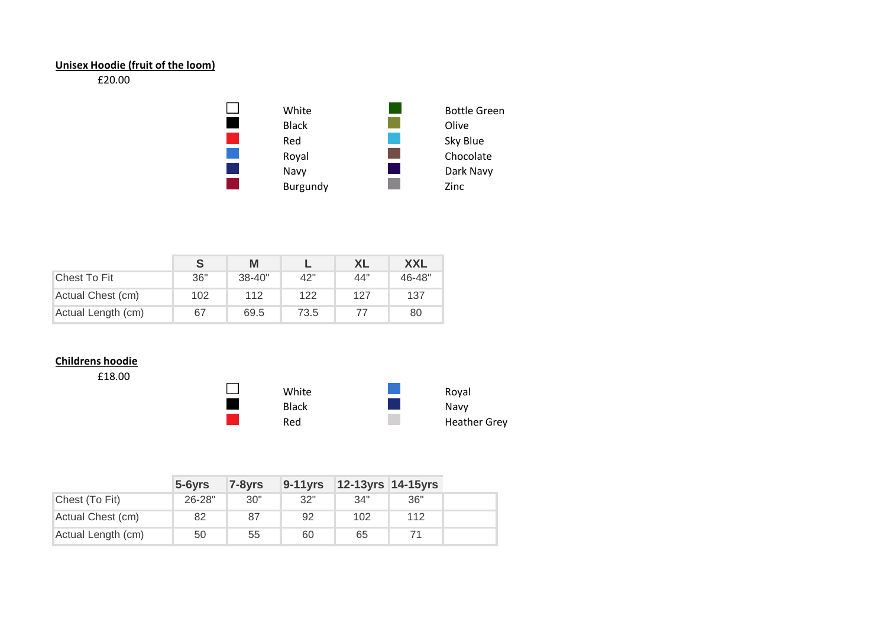## **Unisex Hoodie (fruit of the loom)**

## £20.00



|                    | S   | М          |      | XL  | <b>XXL</b> |
|--------------------|-----|------------|------|-----|------------|
| Chest To Fit       | 36" | $38 - 40"$ | 42"  | 44" | 46-48"     |
| Actual Chest (cm)  | 102 | 112        | 122  | 127 | 137        |
| Actual Length (cm) | 67  | 69.5       | 73.5 |     | 80         |

# **Childrens hoodie**

£18.00



|                    | $5 - 6yrs$ | $7-8$ yrs | $9 - 11$ yrs | <b>12-13yrs 14-15yrs</b> |     |
|--------------------|------------|-----------|--------------|--------------------------|-----|
| Chest (To Fit)     | 26-28"     | 30"       | 32"          | 34"                      | 36" |
| Actual Chest (cm)  | 82         | 87        | 92           | 102                      | 112 |
| Actual Length (cm) | 50         | 55        | 60           | 65                       |     |